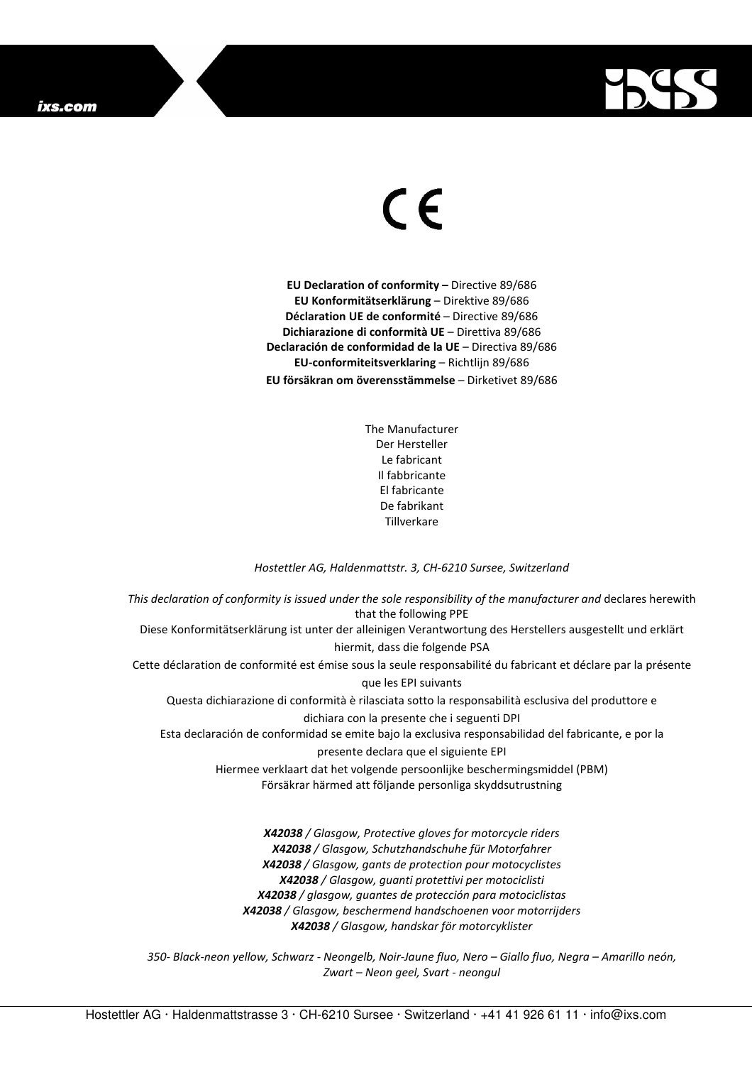## ixs.com



## $\in$   $\in$

**EU Declaration of conformity –** Directive 89/686 **EU Konformitätserklärung** – Direktive 89/686 **Déclaration UE de conformité** – Directive 89/686 **Dichiarazione di conformità UE** – Direttiva 89/686 **Declaración de conformidad de la UE** – Directiva 89/686 **EU-conformiteitsverklaring** – Richtlijn 89/686 **EU försäkran om överensstämmelse** – Dirketivet 89/686

> The Manufacturer Der Hersteller Le fabricant Il fabbricante El fabricante De fabrikant Tillverkare

## *Hostettler AG, Haldenmattstr. 3, CH-6210 Sursee, Switzerland*

*This declaration of conformity is issued under the sole responsibility of the manufacturer and* declares herewith that the following PPE Diese Konformitätserklärung ist unter der alleinigen Verantwortung des Herstellers ausgestellt und erklärt hiermit, dass die folgende PSA Cette déclaration de conformité est émise sous la seule responsabilité du fabricant et déclare par la présente que les EPI suivants Questa dichiarazione di conformità è rilasciata sotto la responsabilità esclusiva del produttore e dichiara con la presente che i seguenti DPI Esta declaración de conformidad se emite bajo la exclusiva responsabilidad del fabricante, e por la presente declara que el siguiente EPI Hiermee verklaart dat het volgende persoonlijke beschermingsmiddel (PBM) Försäkrar härmed att följande personliga skyddsutrustning

*X42038 / Glasgow, Protective gloves for motorcycle riders X42038 / Glasgow, Schutzhandschuhe für Motorfahrer X42038 / Glasgow, gants de protection pour motocyclistes X42038 / Glasgow, guanti protettivi per motociclisti X42038 / glasgow, guantes de protección para motociclistas X42038 / Glasgow, beschermend handschoenen voor motorrijders X42038 / Glasgow, handskar för motorcyklister* 

*350- Black-neon yellow, Schwarz - Neongelb, Noir-Jaune fluo, Nero – Giallo fluo, Negra – Amarillo neón, Zwart – Neon geel, Svart - neongul*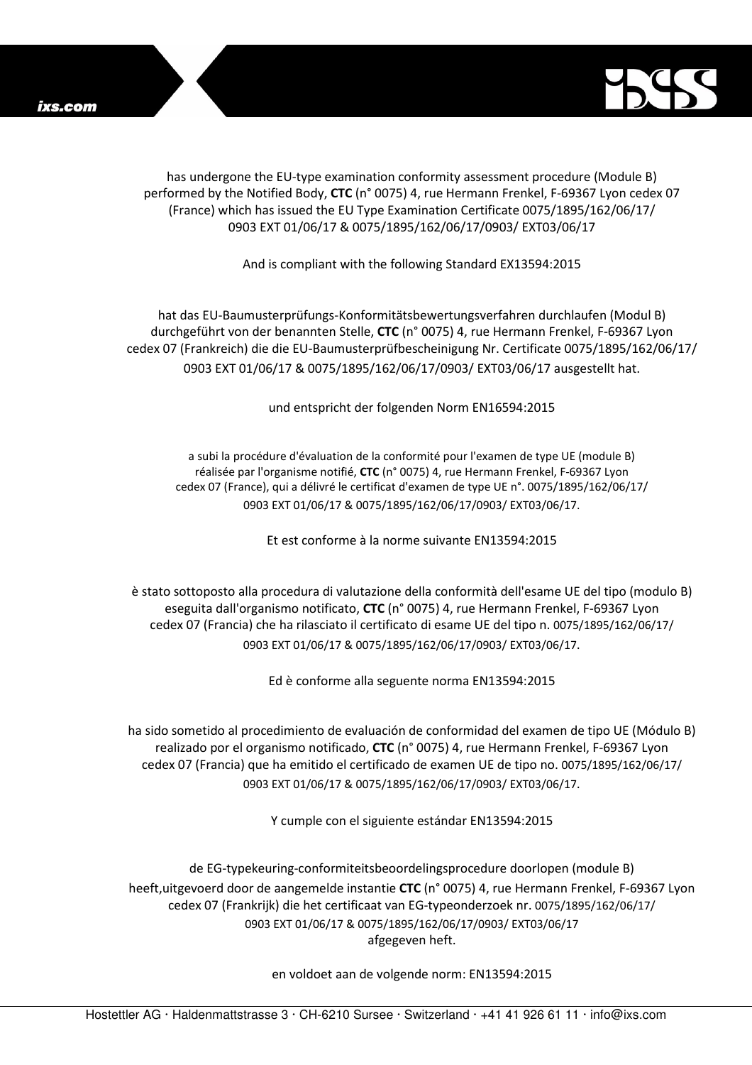

has undergone the EU-type examination conformity assessment procedure (Module B) performed by the Notified Body, **CTC** (n° 0075) 4, rue Hermann Frenkel, F-69367 Lyon cedex 07 (France) which has issued the EU Type Examination Certificate 0075/1895/162/06/17/ 0903 EXT 01/06/17 & 0075/1895/162/06/17/0903/ EXT03/06/17

## And is compliant with the following Standard EX13594:2015

hat das EU-Baumusterprüfungs-Konformitätsbewertungsverfahren durchlaufen (Modul B) durchgeführt von der benannten Stelle, **CTC** (n° 0075) 4, rue Hermann Frenkel, F-69367 Lyon cedex 07 (Frankreich) die die EU-Baumusterprüfbescheinigung Nr. Certificate 0075/1895/162/06/17/ 0903 EXT 01/06/17 & 0075/1895/162/06/17/0903/ EXT03/06/17 ausgestellt hat.

und entspricht der folgenden Norm EN16594:2015

a subi la procédure d'évaluation de la conformité pour l'examen de type UE (module B) réalisée par l'organisme notifié, **CTC** (n° 0075) 4, rue Hermann Frenkel, F-69367 Lyon cedex 07 (France), qui a délivré le certificat d'examen de type UE n°. 0075/1895/162/06/17/ 0903 EXT 01/06/17 & 0075/1895/162/06/17/0903/ EXT03/06/17.

Et est conforme à la norme suivante EN13594:2015

è stato sottoposto alla procedura di valutazione della conformità dell'esame UE del tipo (modulo B) eseguita dall'organismo notificato, **CTC** (n° 0075) 4, rue Hermann Frenkel, F-69367 Lyon cedex 07 (Francia) che ha rilasciato il certificato di esame UE del tipo n. 0075/1895/162/06/17/ 0903 EXT 01/06/17 & 0075/1895/162/06/17/0903/ EXT03/06/17.

Ed è conforme alla seguente norma EN13594:2015

ha sido sometido al procedimiento de evaluación de conformidad del examen de tipo UE (Módulo B) realizado por el organismo notificado, **CTC** (n° 0075) 4, rue Hermann Frenkel, F-69367 Lyon cedex 07 (Francia) que ha emitido el certificado de examen UE de tipo no. 0075/1895/162/06/17/ 0903 EXT 01/06/17 & 0075/1895/162/06/17/0903/ EXT03/06/17.

Y cumple con el siguiente estándar EN13594:2015

de EG-typekeuring-conformiteitsbeoordelingsprocedure doorlopen (module B) heeft,uitgevoerd door de aangemelde instantie **CTC** (n° 0075) 4, rue Hermann Frenkel, F-69367 Lyon cedex 07 (Frankrijk) die het certificaat van EG-typeonderzoek nr. 0075/1895/162/06/17/ 0903 EXT 01/06/17 & 0075/1895/162/06/17/0903/ EXT03/06/17 afgegeven heft.

en voldoet aan de volgende norm: EN13594:2015